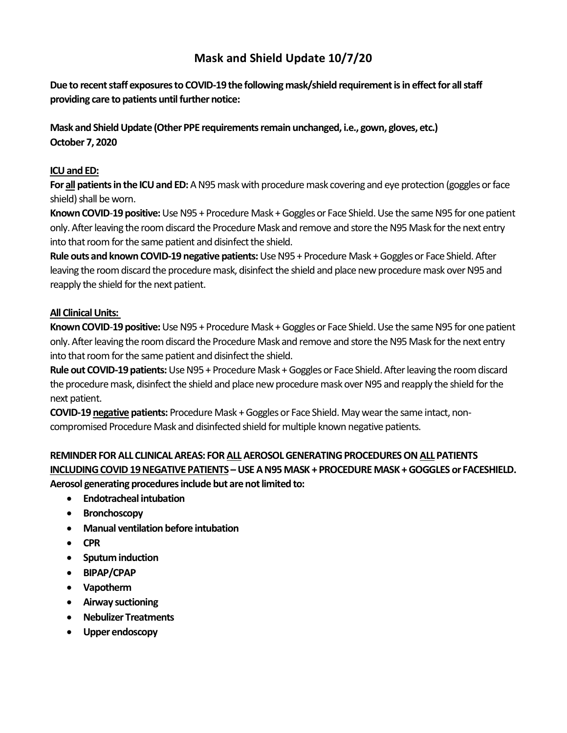## **Mask and Shield Update 10/7/20**

**Due to recent staff exposures to COVID-19 the following mask/shield requirement is in effect for all staff providing care to patients until further notice:**

**Mask and Shield Update (Other PPE requirements remain unchanged, i.e., gown, gloves, etc.) October 7, 2020**

## **ICU and ED:**

**For all patients in the ICU and ED:**AN95 mask with procedure mask covering and eye protection (goggles or face shield) shall be worn.

Known COVID-19 positive: Use N95 + Procedure Mask + Goggles or Face Shield. Use the same N95 for one patient only.After leaving the room discard the Procedure Mask and remove and store the N95 Mask for the next entry into that room for the same patient and disinfect the shield.

**Rule outs and known COVID-19 negative patients:**Use N95 + Procedure Mask + Goggles or Face Shield. After leaving the room discard the procedure mask, disinfect the shield and place new procedure mask over N95 and reapply the shield for the next patient.

## **All Clinical Units:**

**Known COVID-19 positive:** Use N95 + Procedure Mask + Goggles or Face Shield. Use the same N95 for one patient only.After leaving the room discard the Procedure Mask and remove and store the N95 Mask for the next entry into that room for the same patient and disinfect the shield.

**Rule out COVID-19 patients:**Use N95 + Procedure Mask + Goggles or Face Shield.After leaving the room discard the procedure mask, disinfect the shield and place new procedure mask over N95 and reapply the shield for the next patient.

**COVID-19 negative patients:** Procedure Mask + Goggles or Face Shield. May wear the same intact, noncompromised Procedure Mask and disinfected shield for multiple known negative patients.

## **REMINDER FOR ALL CLINICAL AREAS: FOR ALLAEROSOL GENERATING PROCEDURES ONALLPATIENTS INCLUDING COVID 19 NEGATIVE PATIENTS – USE A N95 MASK + PROCEDURE MASK + GOGGLES or FACESHIELD. Aerosol generating procedures include but are not limited to:**

- **Endotracheal intubation**
- **Bronchoscopy**
- **Manual ventilation before intubation**
- **CPR**
- **Sputum induction**
- **BIPAP/CPAP**
- **Vapotherm**
- **Airway suctioning**
- **Nebulizer Treatments**
- **Upper endoscopy**